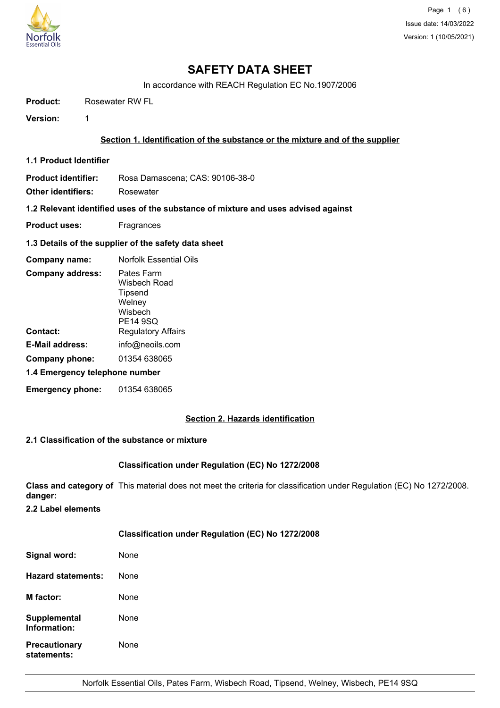

# **SAFETY DATA SHEET**

In accordance with REACH Regulation EC No.1907/2006

**Product:** Rosewater RW FL

**Version:** 1

## **Section 1. Identification of the substance or the mixture and of the supplier**

**1.1 Product Identifier**

**Product identifier:** Rosa Damascena; CAS: 90106-38-0

**Other identifiers:** Rosewater

**1.2 Relevant identified uses of the substance of mixture and uses advised against**

**Product uses:** Fragrances

#### **1.3 Details of the supplier of the safety data sheet**

| Company name:                  | <b>Norfolk Essential Oils</b>                                          |  |
|--------------------------------|------------------------------------------------------------------------|--|
| <b>Company address:</b>        | Pates Farm<br>Wisbech Road<br>Tipsend<br>Welney<br>Wisbech<br>PE14 9SQ |  |
| Contact:                       | <b>Regulatory Affairs</b>                                              |  |
| E-Mail address:                | info@neoils.com                                                        |  |
| Company phone:                 | 01354 638065                                                           |  |
| 1.4 Emergency telephone number |                                                                        |  |
| <b>Emergency phone:</b>        | 01354 638065                                                           |  |

## **Section 2. Hazards identification**

#### **2.1 Classification of the substance or mixture**

#### **Classification under Regulation (EC) No 1272/2008**

**Class and category of** This material does not meet the criteria for classification under Regulation (EC) No 1272/2008. **danger:**

**2.2 Label elements**

## **Classification under Regulation (EC) No 1272/2008**

| Signal word:                        | None |
|-------------------------------------|------|
| Hazard statements:                  | None |
| <b>M</b> factor:                    | None |
| <b>Supplemental</b><br>Information: | None |
| <b>Precautionary</b><br>statements: | None |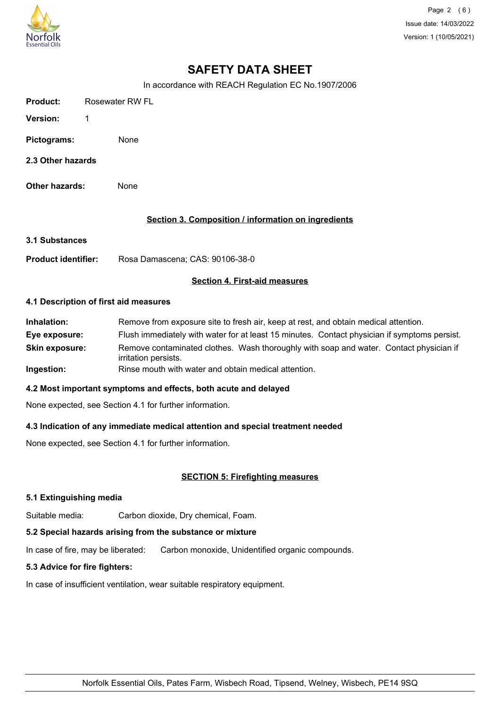

Page 2 (6) Issue date: 14/03/2022 Version: 1 (10/05/2021)

## **SAFETY DATA SHEET**

In accordance with REACH Regulation EC No.1907/2006

| <b>Product:</b>   | Rosewater RW FL |
|-------------------|-----------------|
| <b>Version:</b>   | 1               |
| Pictograms:       | None            |
| 2.3 Other hazards |                 |
| Other hazards:    | None            |

## **Section 3. Composition / information on ingredients**

**3.1 Substances**

**Product identifier:** Rosa Damascena; CAS: 90106-38-0

## **Section 4. First-aid measures**

#### **4.1 Description of first aid measures**

| Inhalation:           | Remove from exposure site to fresh air, keep at rest, and obtain medical attention.                            |
|-----------------------|----------------------------------------------------------------------------------------------------------------|
| Eye exposure:         | Flush immediately with water for at least 15 minutes. Contact physician if symptoms persist.                   |
| <b>Skin exposure:</b> | Remove contaminated clothes. Wash thoroughly with soap and water. Contact physician if<br>irritation persists. |
| Ingestion:            | Rinse mouth with water and obtain medical attention.                                                           |

#### **4.2 Most important symptoms and effects, both acute and delayed**

None expected, see Section 4.1 for further information.

#### **4.3 Indication of any immediate medical attention and special treatment needed**

None expected, see Section 4.1 for further information.

## **SECTION 5: Firefighting measures**

#### **5.1 Extinguishing media**

Suitable media: Carbon dioxide, Dry chemical, Foam.

## **5.2 Special hazards arising from the substance or mixture**

In case of fire, may be liberated: Carbon monoxide, Unidentified organic compounds.

## **5.3 Advice for fire fighters:**

In case of insufficient ventilation, wear suitable respiratory equipment.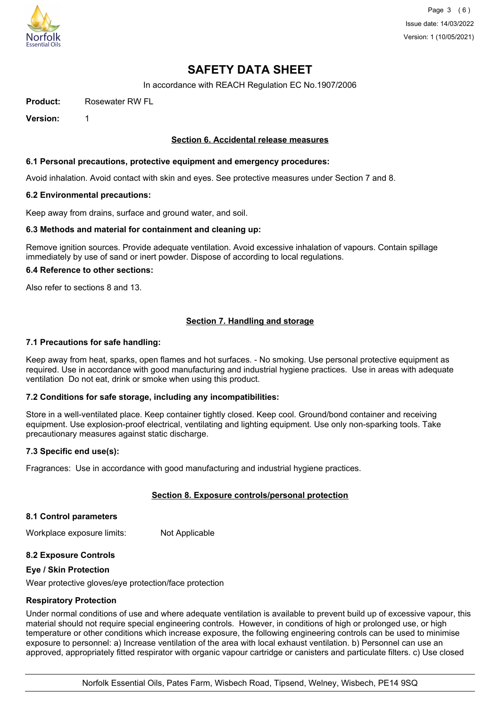

Page 3 (6) Issue date: 14/03/2022 Version: 1 (10/05/2021)

## **SAFETY DATA SHEET**

In accordance with REACH Regulation EC No.1907/2006

**Product:** Rosewater RW FL

**Version:** 1

## **Section 6. Accidental release measures**

#### **6.1 Personal precautions, protective equipment and emergency procedures:**

Avoid inhalation. Avoid contact with skin and eyes. See protective measures under Section 7 and 8.

#### **6.2 Environmental precautions:**

Keep away from drains, surface and ground water, and soil.

#### **6.3 Methods and material for containment and cleaning up:**

Remove ignition sources. Provide adequate ventilation. Avoid excessive inhalation of vapours. Contain spillage immediately by use of sand or inert powder. Dispose of according to local regulations.

#### **6.4 Reference to other sections:**

Also refer to sections 8 and 13.

## **Section 7. Handling and storage**

#### **7.1 Precautions for safe handling:**

Keep away from heat, sparks, open flames and hot surfaces. - No smoking. Use personal protective equipment as required. Use in accordance with good manufacturing and industrial hygiene practices. Use in areas with adequate ventilation Do not eat, drink or smoke when using this product.

## **7.2 Conditions for safe storage, including any incompatibilities:**

Store in a well-ventilated place. Keep container tightly closed. Keep cool. Ground/bond container and receiving equipment. Use explosion-proof electrical, ventilating and lighting equipment. Use only non-sparking tools. Take precautionary measures against static discharge.

#### **7.3 Specific end use(s):**

Fragrances: Use in accordance with good manufacturing and industrial hygiene practices.

## **Section 8. Exposure controls/personal protection**

#### **8.1 Control parameters**

Workplace exposure limits: Not Applicable

## **8.2 Exposure Controls**

#### **Eye / Skin Protection**

Wear protective gloves/eye protection/face protection

#### **Respiratory Protection**

Under normal conditions of use and where adequate ventilation is available to prevent build up of excessive vapour, this material should not require special engineering controls. However, in conditions of high or prolonged use, or high temperature or other conditions which increase exposure, the following engineering controls can be used to minimise exposure to personnel: a) Increase ventilation of the area with local exhaust ventilation. b) Personnel can use an approved, appropriately fitted respirator with organic vapour cartridge or canisters and particulate filters. c) Use closed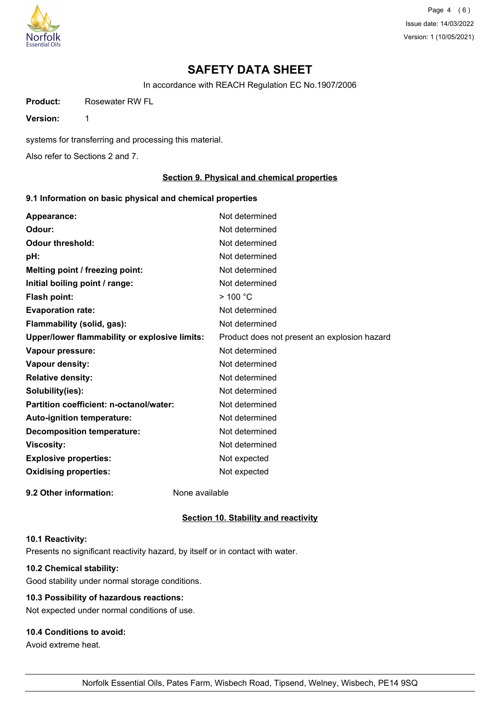

Page 4 (6) Issue date: 14/03/2022 Version: 1 (10/05/2021)

## **SAFETY DATA SHEET**

In accordance with REACH Regulation EC No.1907/2006

**Product:** Rosewater RW FL

**Version:** 1

systems for transferring and processing this material.

Also refer to Sections 2 and 7.

## **Section 9. Physical and chemical properties**

## **9.1 Information on basic physical and chemical properties**

| Appearance:                                   | Not determined                               |
|-----------------------------------------------|----------------------------------------------|
| Odour:                                        | Not determined                               |
| <b>Odour threshold:</b>                       | Not determined                               |
| pH:                                           | Not determined                               |
| Melting point / freezing point:               | Not determined                               |
| Initial boiling point / range:                | Not determined                               |
| Flash point:                                  | $>$ 100 °C                                   |
| <b>Evaporation rate:</b>                      | Not determined                               |
| Flammability (solid, gas):                    | Not determined                               |
| Upper/lower flammability or explosive limits: | Product does not present an explosion hazard |
| Vapour pressure:                              | Not determined                               |
| Vapour density:                               | Not determined                               |
| <b>Relative density:</b>                      | Not determined                               |
| Solubility(ies):                              | Not determined                               |
| Partition coefficient: n-octanol/water:       | Not determined                               |
| Auto-ignition temperature:                    | Not determined                               |
| <b>Decomposition temperature:</b>             | Not determined                               |
| <b>Viscosity:</b>                             | Not determined                               |
| <b>Explosive properties:</b>                  | Not expected                                 |
| <b>Oxidising properties:</b>                  | Not expected                                 |
| 9.2 Other information:                        | None available                               |

#### **Section 10. Stability and reactivity**

## **10.1 Reactivity:**

Presents no significant reactivity hazard, by itself or in contact with water.

## **10.2 Chemical stability:**

Good stability under normal storage conditions.

## **10.3 Possibility of hazardous reactions:**

Not expected under normal conditions of use.

## **10.4 Conditions to avoid:**

Avoid extreme heat.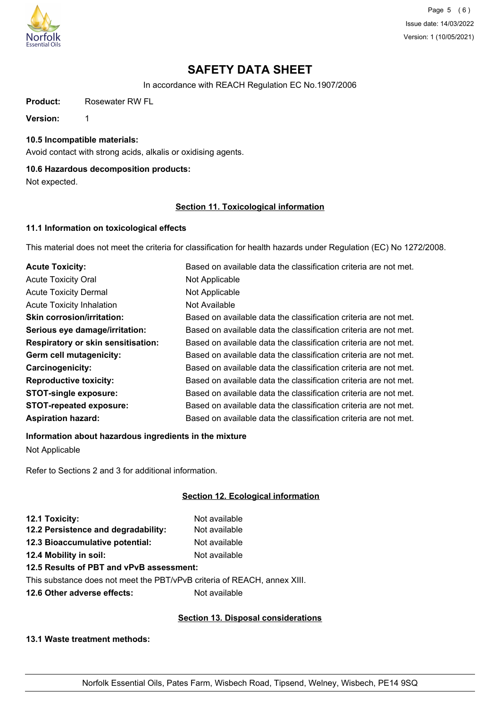

Page 5 (6) Issue date: 14/03/2022 Version: 1 (10/05/2021)

## **SAFETY DATA SHEET**

In accordance with REACH Regulation EC No.1907/2006

**Product:** Rosewater RW FL

**Version:** 1

**10.5 Incompatible materials:**

Avoid contact with strong acids, alkalis or oxidising agents.

## **10.6 Hazardous decomposition products:**

Not expected.

## **Section 11. Toxicological information**

## **11.1 Information on toxicological effects**

This material does not meet the criteria for classification for health hazards under Regulation (EC) No 1272/2008.

| <b>Acute Toxicity:</b>                    | Based on available data the classification criteria are not met. |
|-------------------------------------------|------------------------------------------------------------------|
| <b>Acute Toxicity Oral</b>                | Not Applicable                                                   |
| <b>Acute Toxicity Dermal</b>              | Not Applicable                                                   |
| <b>Acute Toxicity Inhalation</b>          | Not Available                                                    |
| <b>Skin corrosion/irritation:</b>         | Based on available data the classification criteria are not met. |
| Serious eye damage/irritation:            | Based on available data the classification criteria are not met. |
| <b>Respiratory or skin sensitisation:</b> | Based on available data the classification criteria are not met. |
| Germ cell mutagenicity:                   | Based on available data the classification criteria are not met. |
| Carcinogenicity:                          | Based on available data the classification criteria are not met. |
| <b>Reproductive toxicity:</b>             | Based on available data the classification criteria are not met. |
| <b>STOT-single exposure:</b>              | Based on available data the classification criteria are not met. |
| <b>STOT-repeated exposure:</b>            | Based on available data the classification criteria are not met. |
| <b>Aspiration hazard:</b>                 | Based on available data the classification criteria are not met. |

## **Information about hazardous ingredients in the mixture**

Not Applicable

Refer to Sections 2 and 3 for additional information.

## **Section 12. Ecological information**

| 12.1 Toxicity:                      | Not available |
|-------------------------------------|---------------|
| 12.2 Persistence and degradability: | Not available |
| 12.3 Bioaccumulative potential:     | Not available |
| 12.4 Mobility in soil:              | Not available |
|                                     |               |

## **12.5 Results of PBT and vPvB assessment:**

This substance does not meet the PBT/vPvB criteria of REACH, annex XIII.

**12.6 Other adverse effects:** Not available

## **Section 13. Disposal considerations**

**13.1 Waste treatment methods:**